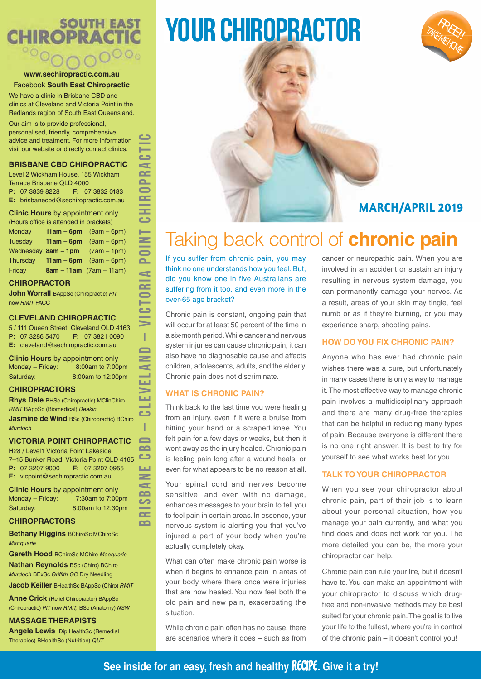# **SOUTH EAST CHIROPRACTIC**

# **www.sechiropractic.com.au** Facebook **South East Chiropractic**

We have a clinic in Brisbane CBD and clinics at Cleveland and Victoria Point in the Redlands region of South East Queensland.

Our aim is to provide professional, personalised, friendly, comprehensive advice and treatment. For more information visit our website or directly contact clinics.

# **BRISBANE CBD CHIROPRACTIC**

Level 2 Wickham House, 155 Wickham Terrace Brisbane QLD 4000 **P:** 07 3839 8228 **F:** 07 3832 0183 **E:** brisbanecbd@sechiropractic.com.au

# **Clinic Hours** by appointment only

(Hours office is attended in brackets) Monday **11am – 6pm** (9am – 6pm) Tuesday **11am – 6pm** (9am – 6pm) Wednesday **8am – 1pm** (7am – 1pm) Thursday **11am – 6pm** (9am – 6pm) Friday **8am – 11am** (7am – 11am)

# **CHIROPRACTOR**

**John Worrall BAppSc (Chiropractic) PIT** now RMIT FACC

# **CLEVELAND CHIROPRACTIC**

5 / 111 Queen Street, Cleveland QLD 4163 **P:** 07 3286 5470 **F:** 07 3821 0090 **E:** cleveland@sechiropractic.com.au

**BRISBANE CBD – CLEVELAND – VICTORIA POINT CHIROPRACTIC**

 $\geq$  $\blacktriangleleft$  $\mathbf{r}$ S  $\sim$  $\sim$ 

d  $\sim$  $\sim$  $\blacksquare$  $\sim$ -ᆂ  $\epsilon$ 一  $\geq$  $\equiv$  $\mathbf{r}$  $\mathbf{r}$  $\sim$  $\blacksquare$ 一 دے  $\Rightarrow$ Т  $\Box$  $\geq$  $\blacksquare$ **LL** ∍ LШ **Contract** د T  $\blacksquare$  $\sim$ 

**Clinic Hours** by appointment only Monday – Friday: 8:00am to 7:00pm Saturday: 8:00am to 12:00pm

# **CHIROPRACTORS**

**Rhys Dale** BHSc (Chiropractic) MClinChiro RMIT BAppSc (Biomedical) Deakin

**Jasmine de Wind BSc (Chiropractic) BChiro** Murdoch

# **VICTORIA POINT CHIROPRACTIC**

H28 / Level1 Victoria Point Lakeside  $\Box$ 7–15 Bunker Road, Victoria Point QLD 4165 **P:** 07 3207 9000 **F:** 07 3207 0955 **LLI E:** vicpoint@sechiropractic.com.au

**Clinic Hours** by appointment only Monday – Friday: 7:30am to 7:00pm Saturday: 8:00am to 12:30pm

# **CHIROPRACTORS**

**Bethany Higgins** BChiroSc MChiroSc **Macquarie** 

**Gareth Hood** BChiroSc MChiro Macquarie

**Nathan Reynolds** BSc (Chiro) BChiro Murdoch BExSc Griffith GC Dry Needling

**Jacob Keiller** BHealthSc BAppSc (Chiro) RMIT

**Anne Crick** (Relief Chiropractor) BAppSc (Chiropractic) PIT now RMIT, BSc (Anatomy) NSW

# **MASSAGE THERAPISTS**

**Angela Lewis** Dip HealthSc (Remedial Therapies) BHealthSc (Nutrition) QUT

# YOUR CHIROPRACTOR



# **MARCH/APRIL 2019**

# Taking back control of **chronic pain**

If you suffer from chronic pain, you may think no one understands how you feel. But, did you know one in five Australians are suffering from it too, and even more in the over-65 age bracket?

Chronic pain is constant, ongoing pain that will occur for at least 50 percent of the time in a six-month period. While cancer and nervous system injuries can cause chronic pain, it can also have no diagnosable cause and affects children, adolescents, adults, and the elderly. Chronic pain does not discriminate.

# **WHAT IS CHRONIC PAIN?**

Think back to the last time you were healing from an injury, even if it were a bruise from hitting your hand or a scraped knee. You felt pain for a few days or weeks, but then it went away as the injury healed. Chronic pain is feeling pain long after a wound heals, or even for what appears to be no reason at all.

Your spinal cord and nerves become sensitive, and even with no damage, enhances messages to your brain to tell you to feel pain in certain areas. In essence, your nervous system is alerting you that you've injured a part of your body when you're actually completely okay.

What can often make chronic pain worse is when it begins to enhance pain in areas of your body where there once were injuries that are now healed. You now feel both the old pain and new pain, exacerbating the situation.

While chronic pain often has no cause, there are scenarios where it does – such as from cancer or neuropathic pain. When you are involved in an accident or sustain an injury resulting in nervous system damage, you can permanently damage your nerves. As a result, areas of your skin may tingle, feel numb or as if they're burning, or you may experience sharp, shooting pains.

# **HOW DO YOU FIX CHRONIC PAIN?**

Anyone who has ever had chronic pain wishes there was a cure, but unfortunately in many cases there is only a way to manage it. The most effective way to manage chronic pain involves a multidisciplinary approach and there are many drug-free therapies that can be helpful in reducing many types of pain. Because everyone is different there is no one right answer. It is best to try for yourself to see what works best for you.

# **TALK TO YOUR CHIROPRACTOR**

When you see your chiropractor about chronic pain, part of their job is to learn about your personal situation, how you manage your pain currently, and what you find does and does not work for you. The more detailed you can be, the more your chiropractor can help.

Chronic pain can rule your life, but it doesn't have to. You can make an appointment with your chiropractor to discuss which drugfree and non-invasive methods may be best suited for your chronic pain. The goal is to live your life to the fullest, where you're in control of the chronic pain – it doesn't control you!

# **See inside for an easy, fresh and healthy** RECIPE**. Give it a try!**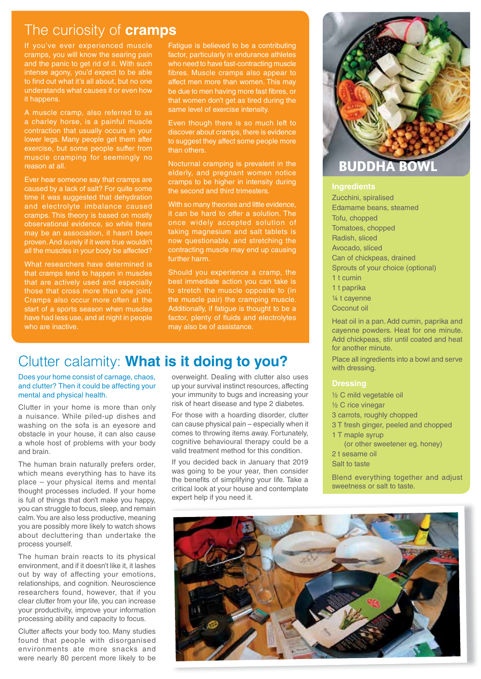# The curiosity of **cramps**

If you've ever experienced muscle cramps, you will know the searing pain and the panic to get rid of it. With such intense agony, you'd expect to be able to find out what it's all about, but no one understands what causes it or even how it happens.

A muscle cramp, also referred to as a charley horse, is a painful muscle contraction that usually occurs in your lower legs. Many people get them after exercise, but some people suffer from muscle cramping for seemingly no reason at all.

Ever hear someone say that cramps are caused by a lack of salt? For quite some time it was suggested that dehydration and electrolyte imbalance caused cramps. This theory is based on mostly observational evidence, so while there may be an association, it hasn't been proven. And surely if it were true wouldn't all the muscles in your body be affected?

What researchers have determined is that cramps tend to happen in muscles that are actively used and especially Cramps also occur more often at the start of a sports season when muscles have had less use, and at night in people who are inactive.

Fatigue is believed to be a contributing factor, particularly in endurance athletes who need to have fast-contracting muscle fibres. Muscle cramps also appear to affect men more than women. This may be due to men having more fast fibres, or that women don't get as tired during the same level of exercise intensity.

Even though there is so much left to discover about cramps, there is evidence to suggest they affect some people more than others.

Nocturnal cramping is prevalent in the elderly, and pregnant women notice cramps to be higher in intensity during the second and third trimesters.

With so many theories and little evidence. it can be hard to offer a solution. The once widely accepted solution of taking magnesium and salt tablets is now questionable, and stretching the contracting muscle may end up causing further harm.

Should you experience a cramp, the best immediate action you can take is to stretch the muscle opposite to (in the muscle pair) the cramping muscle. Additionally, if fatigue is thought to be a factor, plenty of fluids and electrolytes may also be of assistance.

# Clutter calamity: **What is it doing to you?**

Does your home consist of carnage, chaos, and clutter? Then it could be affecting your mental and physical health.

Clutter in your home is more than only a nuisance. While piled-up dishes and washing on the sofa is an eyesore and obstacle in your house, it can also cause a whole host of problems with your body and brain.

The human brain naturally prefers order, which means everything has to have its place – your physical items and mental thought processes included. If your home is full of things that don't make you happy, you can struggle to focus, sleep, and remain calm. You are also less productive, meaning you are possibly more likely to watch shows about decluttering than undertake the process yourself.

The human brain reacts to its physical environment, and if it doesn't like it, it lashes out by way of affecting your emotions, relationships, and cognition. Neuroscience researchers found, however, that if you clear clutter from your life, you can increase your productivity, improve your information processing ability and capacity to focus.

Clutter affects your body too. Many studies found that people with disorganised environments ate more snacks and were nearly 80 percent more likely to be

overweight. Dealing with clutter also uses up your survival instinct resources, affecting your immunity to bugs and increasing your risk of heart disease and type 2 diabetes.

For those with a hoarding disorder, clutter can cause physical pain – especially when it comes to throwing items away. Fortunately, cognitive behavioural therapy could be a valid treatment method for this condition.

If you decided back in January that 2019 was going to be your year, then consider the benefits of simplifying your life. Take a critical look at your house and contemplate expert help if you need it.



# **BUDDHA**

Zucchini, spiralised Edamame beans, steamed Tofu, chopped Tomatoes, chopped Radish, sliced Avocado, sliced Can of chickpeas, drained Sprouts of your choice (optional) 1 t cumin 1 t paprika ¼ t cayenne Coconut oil

Heat oil in a pan. Add cumin, paprika and cayenne powders. Heat for one minute. Add chickpeas, stir until coated and heat for another minute.

Place all ingredients into a bowl and serve with dressing.

½ C mild vegetable oil

- ½ C rice vinegar
- 3 carrots, roughly chopped
- 3 T fresh ginger, peeled and chopped
- 1 T maple syrup
- (or other sweetener eg. honey) 2 t sesame oil

Salt to taste

Blend everything together and adjust sweetness or salt to taste.

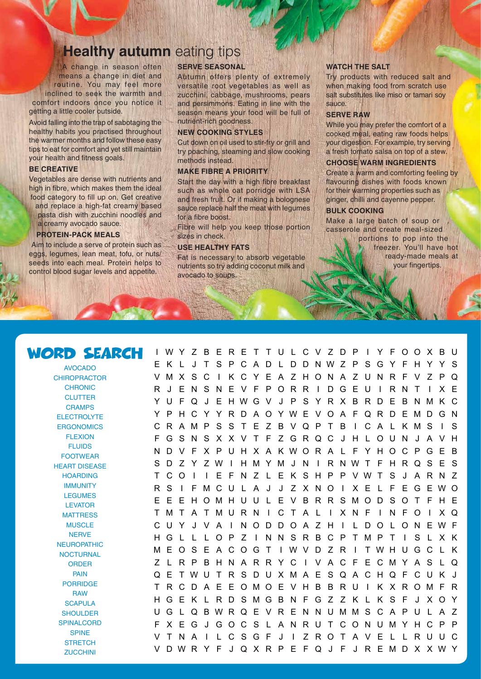# **Healthy autumn** eating tips

A change in season often means a change in diet and routine. You may feel more inclined to seek the warmth and comfort indoors once you notice it getting a little cooler outside.

Avoid falling into the trap of sabotaging the healthy habits you practised throughout the warmer months and follow these easy tips to eat for comfort and yet still maintain your health and fitness goals.

### **BE CREATIVE**

Vegetables are dense with nutrients and high in fibre, which makes them the ideal food category to fill up on. Get creative and replace a high-fat creamy based pasta dish with zucchini noodles and a creamy avocado sauce.

### **PROTEIN-PACK MEALS**

Aim to include a serve of protein such as eggs, legumes, lean meat, tofu, or nuts/ seeds into each meal. Protein helps to control blood sugar levels and appetite.

# **SERVE SEASONAL**

Autumn offers plenty of extremely versatile root vegetables as well as zucchini, cabbage, mushrooms, pears and persimmons. Eating in line with the season means your food will be full of nutrient-rich goodness.

### **NEW COOKING STYLES**

Cut down on oil used to stir-fry or grill and try poaching, steaming and slow cooking methods instead.

## **MAKE FIBRE A PRIORITY**

Start the day with a high fibre breakfast such as whole oat porridge with LSA and fresh fruit. Or if making a bolognese sauce replace half the meat with legumes for a fibre boost.

Fibre will help you keep those portion sizes in check.

## **USE HEALTHY FATS**

Fat is necessary to absorb vegetable nutrients so try adding coconut milk and avocado to soups.

### **WATCH THE SALT**

Try products with reduced salt and when making food from scratch use salt substitutes like miso or tamari soy sauce.

### **SERVE RAW**

While you may prefer the comfort of a cooked meal, eating raw foods helps your digestion. For example, try serving a fresh tomato salsa on top of a stew.

### **CHOOSE WARM INGREDIENTS**

Create a warm and comforting feeling by flavouring dishes with foods known for their warming properties such as ginger, chilli and cayenne pepper.

### **BULK COOKING**

Make a large batch of soup or casserole and create meal-sized

portions to pop into the freezer. You'll have hot ready-made meals at your fingertips.

# WORD SEARCH

AVOCADO **CHIROPRACTOR CHRONIC CLUTTER CRAMPS ELECTROLYTE ERGONOMICS** FLEXION FLUIDS FOOTWEAR HEART DISEASE HOARDING **IMMUNITY** LEGUMES LEVATOR **MATTRESS MUSCLE NERVE NEUROPATHIC NOCTURNAL ORDER** PAIN PORRIDGE **RAW SCAPULA SHOULDER SPINALCORD SPINE STRETCH** 

**ZUCCHINI** 

I WY Z BERET TU L CV ZDP I Y FOOXBU E K L J T S P C A D L DDNWZ P SGY F H Y Y S VMXSC I KCYEAZHONAZUNRFVZPQ R J ENSNEVFPORR I DGEU I RNT I XE Y U F Q J E HWGV J P S Y R X B RD E B NMK C Y PHCY YRDAOYWE VOA FQRDEMDGN CRAMPSSTEZBVQPTB I CA L KMS I S FGSNSXXVT FZGRQCJHLOUN J AVH ND V F X P UH X A KWOR A L F Y HOC PGE B S D Z Y ZW I HMYM J N I RNWT F HRQS E S T CO I I E F N Z L E K SHP P VWT S J A RN Z R S I FMCU L A J J Z X NO I X E L F EGEWO E E EHOMHUU L E V BRRSMODSOT F HE TMT ATMURN I CT A L I XNF I NFO I XQ CUY J V A I NODDOA Z H I L DO L ONEWF HGL L LOPZ I NNSRBCPTMPT I S LXK MEOS E ACOGT I WVD Z R I TWHUGC L K Z LRPBHNARRYC I VACF ECMYAS LQ QE TWU T RSDUXMA E SQACHQF CUK J T RCDA E EOMOE VHB BRU I K XROMF R HGEK L RDSMGBNFGZ Z K L K S F J XOY UG L QBWRQE VR E NNUMMS C A PU L A Z FXEGJGOCS L ANRUTCONUMYHCPP VTNA I LCSGF J I ZROTAVEL LRUUC V DWR Y F J QX R P E F Q J F J R EMD X XWY